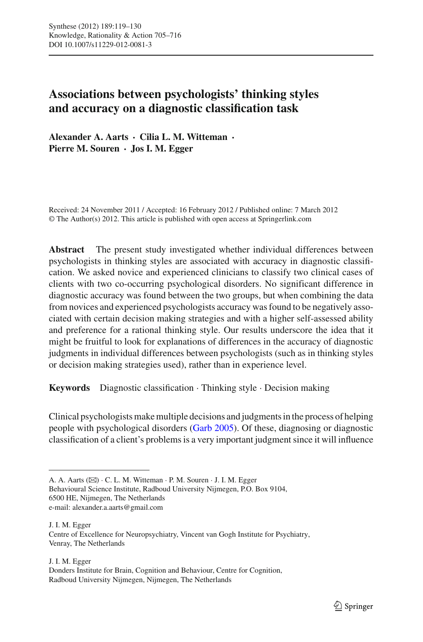# **Associations between psychologists' thinking styles and accuracy on a diagnostic classification task**

**Alexander A. Aarts · Cilia L. M. Witteman · Pierre M. Souren · Jos I. M. Egger**

Received: 24 November 2011 / Accepted: 16 February 2012 / Published online: 7 March 2012 © The Author(s) 2012. This article is published with open access at Springerlink.com

**Abstract** The present study investigated whether individual differences between psychologists in thinking styles are associated with accuracy in diagnostic classification. We asked novice and experienced clinicians to classify two clinical cases of clients with two co-occurring psychological disorders. No significant difference in diagnostic accuracy was found between the two groups, but when combining the data from novices and experienced psychologists accuracy was found to be negatively associated with certain decision making strategies and with a higher self-assessed ability and preference for a rational thinking style. Our results underscore the idea that it might be fruitful to look for explanations of differences in the accuracy of diagnostic judgments in individual differences between psychologists (such as in thinking styles or decision making strategies used), rather than in experience level.

**Keywords** Diagnostic classification · Thinking style · Decision making

Clinical psychologists make multiple decisions and judgments in the process of helping people with psychological disorders [\(Garb 2005\)](#page-11-0). Of these, diagnosing or diagnostic classification of a client's problems is a very important judgment since it will influence

Behavioural Science Institute, Radboud University Nijmegen, P.O. Box 9104, 6500 HE, Nijmegen, The Netherlands e-mail: alexander.a.aarts@gmail.com

J. I. M. Egger

A. A. Aarts ( $\boxtimes$ ) · C. L. M. Witteman · P. M. Souren · J. I. M. Egger

J. I. M. Egger Centre of Excellence for Neuropsychiatry, Vincent van Gogh Institute for Psychiatry, Venray, The Netherlands

Donders Institute for Brain, Cognition and Behaviour, Centre for Cognition, Radboud University Nijmegen, Nijmegen, The Netherlands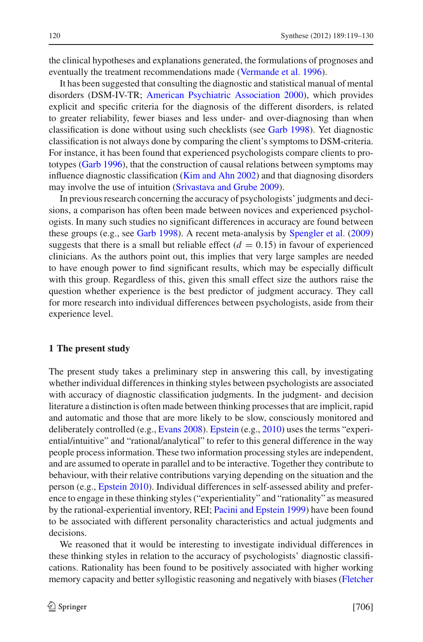the clinical hypotheses and explanations generated, the formulations of prognoses and eventually the treatment recommendations made [\(Vermande et al. 1996](#page-11-1)).

It has been suggested that consulting the diagnostic and statistical manual of mental disorders (DSM-IV-TR; [American Psychiatric Association 2000](#page-11-2)), which provides explicit and specific criteria for the diagnosis of the different disorders, is related to greater reliability, fewer biases and less under- and over-diagnosing than when classification is done without using such checklists (see [Garb 1998\)](#page-11-3). Yet diagnostic classification is not always done by comparing the client's symptoms to DSM-criteria. For instance, it has been found that experienced psychologists compare clients to prototypes [\(Garb 1996](#page-11-4)), that the construction of causal relations between symptoms may influence diagnostic classification [\(Kim and Ahn 2002](#page-11-5)) and that diagnosing disorders may involve the use of intuition [\(Srivastava and Grube 2009](#page-11-6)).

In previous research concerning the accuracy of psychologists' judgments and decisions, a comparison has often been made between novices and experienced psychologists. In many such studies no significant differences in accuracy are found between these groups (e.g., see [Garb 1998\)](#page-11-3). A recent meta-analysis by [Spengler et al.](#page-11-7) [\(2009\)](#page-11-7) suggests that there is a small but reliable effect  $(d = 0.15)$  in favour of experienced clinicians. As the authors point out, this implies that very large samples are needed to have enough power to find significant results, which may be especially difficult with this group. Regardless of this, given this small effect size the authors raise the question whether experience is the best predictor of judgment accuracy. They call for more research into individual differences between psychologists, aside from their experience level.

#### **1 The present study**

The present study takes a preliminary step in answering this call, by investigating whether individual differences in thinking styles between psychologists are associated with accuracy of diagnostic classification judgments. In the judgment- and decision literature a distinction is often made between thinking processes that are implicit, rapid and automatic and those that are more likely to be slow, consciously monitored and deliberately controlled (e.g., [Evans 2008\)](#page-11-8). [Epstein](#page-11-9) (e.g., [2010\)](#page-11-9) uses the terms "experiential/intuitive" and "rational/analytical" to refer to this general difference in the way people process information. These two information processing styles are independent, and are assumed to operate in parallel and to be interactive. Together they contribute to behaviour, with their relative contributions varying depending on the situation and the person (e.g., [Epstein 2010](#page-11-9)). Individual differences in self-assessed ability and preference to engage in these thinking styles ("experientiality" and "rationality" as measured by the rational-experiential inventory, REI; [Pacini and Epstein 1999\)](#page-11-10) have been found to be associated with different personality characteristics and actual judgments and decisions.

We reasoned that it would be interesting to investigate individual differences in these thinking styles in relation to the accuracy of psychologists' diagnostic classifications. Rationality has been found to be positively associated with higher working memory capacity and better syllogistic reasoning and negatively with biases (Fletcher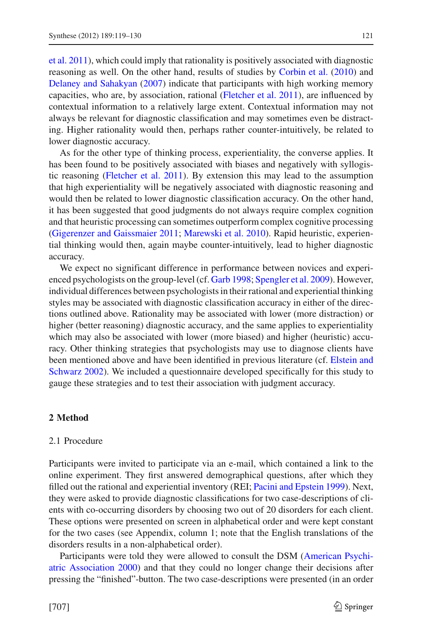et al. [2011\)](#page-11-11), which could imply that rationality is positively associated with diagnostic reasoning as well. On the other hand, results of studies by [Corbin et al.](#page-11-12) [\(2010](#page-11-12)) and [Delaney and Sahakyan](#page-11-13) [\(2007\)](#page-11-13) indicate that participants with high working memory capacities, who are, by association, rational [\(Fletcher et al. 2011](#page-11-11)), are influenced by contextual information to a relatively large extent. Contextual information may not always be relevant for diagnostic classification and may sometimes even be distracting. Higher rationality would then, perhaps rather counter-intuitively, be related to lower diagnostic accuracy.

As for the other type of thinking process, experientiality, the converse applies. It has been found to be positively associated with biases and negatively with syllogistic reasoning [\(Fletcher et al. 2011](#page-11-11)). By extension this may lead to the assumption that high experientiality will be negatively associated with diagnostic reasoning and would then be related to lower diagnostic classification accuracy. On the other hand, it has been suggested that good judgments do not always require complex cognition and that heuristic processing can sometimes outperform complex cognitive processing [\(Gigerenzer and Gaissmaier 2011;](#page-11-14) [Marewski et al. 2010\)](#page-11-15). Rapid heuristic, experiential thinking would then, again maybe counter-intuitively, lead to higher diagnostic accuracy.

We expect no significant difference in performance between novices and experienced psychologists on the group-level (cf. [Garb 1998;](#page-11-3) [Spengler et al. 2009\)](#page-11-7). However, individual differences between psychologists in their rational and experiential thinking styles may be associated with diagnostic classification accuracy in either of the directions outlined above. Rationality may be associated with lower (more distraction) or higher (better reasoning) diagnostic accuracy, and the same applies to experientiality which may also be associated with lower (more biased) and higher (heuristic) accuracy. Other thinking strategies that psychologists may use to diagnose clients have been me[ntioned](#page-11-16) [above](#page-11-16) [and](#page-11-16) [have](#page-11-16) [been](#page-11-16) [identified](#page-11-16) [in](#page-11-16) [previous](#page-11-16) [literature](#page-11-16) [\(cf.](#page-11-16) Elstein and Schwarz [2002\)](#page-11-16). We included a questionnaire developed specifically for this study to gauge these strategies and to test their association with judgment accuracy.

### **2 Method**

### 2.1 Procedure

Participants were invited to participate via an e-mail, which contained a link to the online experiment. They first answered demographical questions, after which they filled out the rational and experiential inventory (REI; [Pacini and Epstein 1999\)](#page-11-10). Next, they were asked to provide diagnostic classifications for two case-descriptions of clients with co-occurring disorders by choosing two out of 20 disorders for each client. These options were presented on screen in alphabetical order and were kept constant for the two cases (see Appendix, column 1; note that the English translations of the disorders results in a non-alphabetical order).

Participants [were](#page-11-2) [told](#page-11-2) [they](#page-11-2) [were](#page-11-2) [allowed](#page-11-2) [to](#page-11-2) [consult](#page-11-2) [the](#page-11-2) [DSM](#page-11-2) [\(](#page-11-2)American Psychiatric Association [2000\)](#page-11-2) and that they could no longer change their decisions after pressing the "finished"-button. The two case-descriptions were presented (in an order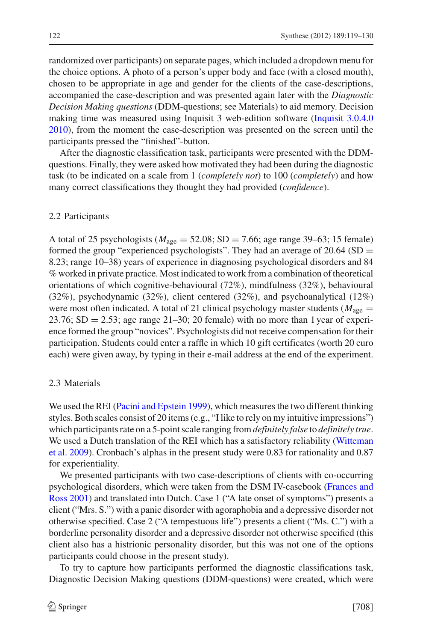randomized over participants) on separate pages, which included a dropdown menu for the choice options. A photo of a person's upper body and face (with a closed mouth), chosen to be appropriate in age and gender for the clients of the case-descriptions, accompanied the case-description and was presented again later with the *Diagnostic Decision Making questions* (DDM-questions; see Materials) to aid memory. Decision making time was measured using Inquisit 3 web-edition software [\(Inquisit 3.0.4.0](#page-11-17) [2010\)](#page-11-17), from the moment the case-description was presented on the screen until the participants pressed the "finished"-button.

After the diagnostic classification task, participants were presented with the DDMquestions. Finally, they were asked how motivated they had been during the diagnostic task (to be indicated on a scale from 1 (*completely not*) to 100 (*completely*) and how many correct classifications they thought they had provided (*confidence*).

#### 2.2 Participants

A total of 25 psychologists ( $M_{\text{age}} = 52.08$ ; SD = 7.66; age range 39–63; 15 female) formed the group "experienced psychologists". They had an average of  $20.64$  (SD = 8.23; range 10–38) years of experience in diagnosing psychological disorders and 84 % worked in private practice. Most indicated to work from a combination of theoretical orientations of which cognitive-behavioural (72%), mindfulness (32%), behavioural (32%), psychodynamic (32%), client centered (32%), and psychoanalytical (12%) were most often indicated. A total of 21 clinical psychology master students ( $M_{\text{age}} =$ 23.76;  $SD = 2.53$ ; age range 21–30; 20 female) with no more than 1 year of experience formed the group "novices". Psychologists did not receive compensation for their participation. Students could enter a raffle in which 10 gift certificates (worth 20 euro each) were given away, by typing in their e-mail address at the end of the experiment.

# 2.3 Materials

We used the REI [\(Pacini and Epstein 1999](#page-11-10)), which measures the two different thinking styles. Both scales consist of 20 items (e.g., "I like to rely on my intuitive impressions") which participants rate on a 5-point scale ranging from*definitely false* to *definitely true*. We [used](#page-11-18) [a](#page-11-18) [Dutch](#page-11-18) [translation](#page-11-18) [of](#page-11-18) [the](#page-11-18) [REI](#page-11-18) [which](#page-11-18) [has](#page-11-18) [a](#page-11-18) [satisfactory](#page-11-18) [reliability](#page-11-18) [\(](#page-11-18)Witteman et al. [2009](#page-11-18)). Cronbach's alphas in the present study were 0.83 for rationality and 0.87 for experientiality.

We presented participants with two case-descriptions of clients with co-occurring psyc[hological](#page-11-19) [disorders,](#page-11-19) [which](#page-11-19) [were](#page-11-19) [taken](#page-11-19) [from](#page-11-19) [the](#page-11-19) [DSM](#page-11-19) [IV-casebook](#page-11-19) [\(](#page-11-19)Frances and Ross [2001](#page-11-19)) and translated into Dutch. Case 1 ("A late onset of symptoms") presents a client ("Mrs. S.") with a panic disorder with agoraphobia and a depressive disorder not otherwise specified. Case 2 ("A tempestuous life") presents a client ("Ms. C.") with a borderline personality disorder and a depressive disorder not otherwise specified (this client also has a histrionic personality disorder, but this was not one of the options participants could choose in the present study).

To try to capture how participants performed the diagnostic classifications task, Diagnostic Decision Making questions (DDM-questions) were created, which were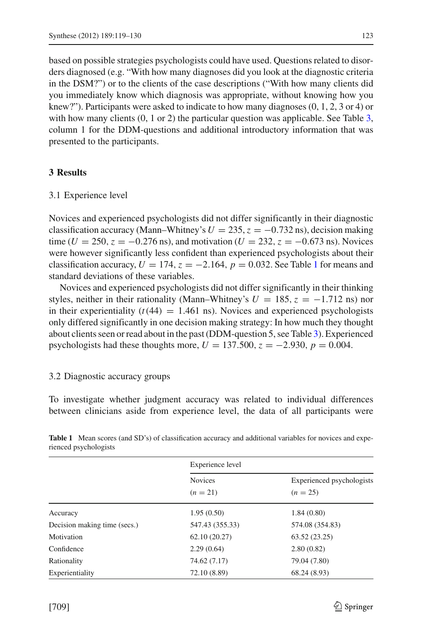based on possible strategies psychologists could have used. Questions related to disorders diagnosed (e.g. "With how many diagnoses did you look at the diagnostic criteria in the DSM?") or to the clients of the case descriptions ("With how many clients did you immediately know which diagnosis was appropriate, without knowing how you knew?"). Participants were asked to indicate to how many diagnoses  $(0, 1, 2, 3, 4)$  or with how many clients  $(0, 1 \text{ or } 2)$  the particular question was applicable. See Table [3,](#page-6-0) column 1 for the DDM-questions and additional introductory information that was presented to the participants.

# **3 Results**

## 3.1 Experience level

Novices and experienced psychologists did not differ significantly in their diagnostic classification accuracy (Mann–Whitney's  $U = 235$ ,  $z = -0.732$  ns), decision making time ( $U = 250$ ,  $z = -0.276$  ns), and motivation ( $U = 232$ ,  $z = -0.673$  ns). Novices were however significantly less confident than experienced psychologists about their classification accuracy,  $U = 174$  $U = 174$  $U = 174$ ,  $z = -2.164$ ,  $p = 0.032$ . See Table 1 for means and standard deviations of these variables.

Novices and experienced psychologists did not differ significantly in their thinking styles, neither in their rationality (Mann–Whitney's  $U = 185$ ,  $z = -1.712$  ns) nor in their experientiality  $(t(44) = 1.461 \text{ ns})$ . Novices and experienced psychologists only differed significantly in one decision making strategy: In how much they thought about clients seen or read about in the past (DDM-question 5, see Table [3\)](#page-6-0). Experienced psychologists had these thoughts more,  $U = 137.500$ ,  $z = -2.930$ ,  $p = 0.004$ .

# 3.2 Diagnostic accuracy groups

To investigate whether judgment accuracy was related to individual differences between clinicians aside from experience level, the data of all participants were

|                              | Experience level             |                                         |
|------------------------------|------------------------------|-----------------------------------------|
|                              | <b>Novices</b><br>$(n = 21)$ | Experienced psychologists<br>$(n = 25)$ |
| Accuracy                     | 1.95(0.50)                   | 1.84(0.80)                              |
| Decision making time (secs.) | 547.43 (355.33)              | 574.08 (354.83)                         |
| Motivation                   | 62.10(20.27)                 | 63.52(23.25)                            |
| Confidence                   | 2.29(0.64)                   | 2.80(0.82)                              |
| Rationality                  | 74.62 (7.17)                 | 79.04 (7.80)                            |
| Experientiality              | 72.10 (8.89)                 | 68.24 (8.93)                            |

<span id="page-4-0"></span>**Table 1** Mean scores (and SD's) of classification accuracy and additional variables for novices and experienced psychologists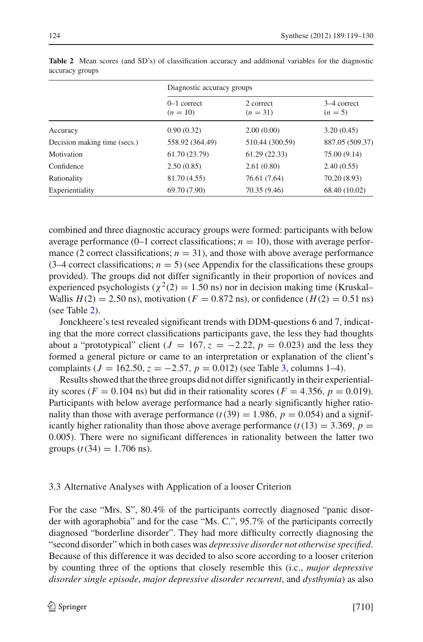|                              | Diagnostic accuracy groups  |                         |                          |
|------------------------------|-----------------------------|-------------------------|--------------------------|
|                              | $0-1$ correct<br>$(n = 10)$ | 2 correct<br>$(n = 31)$ | 3–4 correct<br>$(n = 5)$ |
| Accuracy                     | 0.90(0.32)                  | 2.00(0.00)              | 3.20(0.45)               |
| Decision making time (secs.) | 558.92 (364.49)             | 510.44 (300.59)         | 887.05 (509.37)          |
| Motivation                   | 61.70 (23.79)               | 61.29(22.33)            | 75.00 (9.14)             |
| Confidence                   | 2.50(0.85)                  | 2.61(0.80)              | 2.40(0.55)               |
| Rationality                  | 81.70 (4.55)                | 76.61 (7.64)            | 70.20 (8.93)             |
| Experientiality              | 69.70 (7.90)                | 70.35 (9.46)            | 68.40 (10.02)            |

<span id="page-5-0"></span>**Table 2** Mean scores (and SD's) of classification accuracy and additional variables for the diagnostic accuracy groups

combined and three diagnostic accuracy groups were formed: participants with below average performance  $(0-1$  correct classifications;  $n = 10$ ), those with average performance (2 correct classifications;  $n = 31$ ), and those with above average performance  $(3-4$  correct classifications;  $n = 5$ ) (see Appendix for the classifications these groups provided). The groups did not differ significantly in their proportion of novices and experienced psychologists ( $\chi^2(2) = 1.50$  ns) nor in decision making time (Kruskal– Wallis  $H(2) = 2.50$  ns), motivation ( $F = 0.872$  ns), or confidence ( $H(2) = 0.51$  ns) (see Table [2\)](#page-5-0).

Jonckheere's test revealed significant trends with DDM-questions 6 and 7, indicating that the more correct classifications participants gave, the less they had thoughts about a "prototypical" client ( $J = 167$ ,  $z = -2.22$ ,  $p = 0.023$ ) and the less they formed a general picture or came to an interpretation or explanation of the client's complaints ( $J = 162.50$ ,  $z = -2.57$ ,  $p = 0.012$ ) (see Table [3,](#page-6-0) columns 1–4).

Results showed that the three groups did not differ significantly in their experientiality scores ( $F = 0.104$  ns) but did in their rationality scores ( $F = 4.356$ ,  $p = 0.019$ ). Participants with below average performance had a nearly significantly higher rationality than those with average performance  $(t(39) = 1.986, p = 0.054)$  and a significantly higher rationality than those above average performance  $(t(13) = 3.369, p =$ 0.005). There were no significant differences in rationality between the latter two groups  $(t(34) = 1.706$  ns).

# 3.3 Alternative Analyses with Application of a looser Criterion

For the case "Mrs. S", 80.4% of the participants correctly diagnosed "panic disorder with agoraphobia" and for the case "Ms. C.", 95.7% of the participants correctly diagnosed "borderline disorder". They had more difficulty correctly diagnosing the "second disorder" which in both cases was *depressive disorder not otherwise specified*. Because of this difference it was decided to also score according to a looser criterion by counting three of the options that closely resemble this (i.c., *major depressive disorder single episode*, *major depressive disorder recurrent*, and *dysthymia*) as also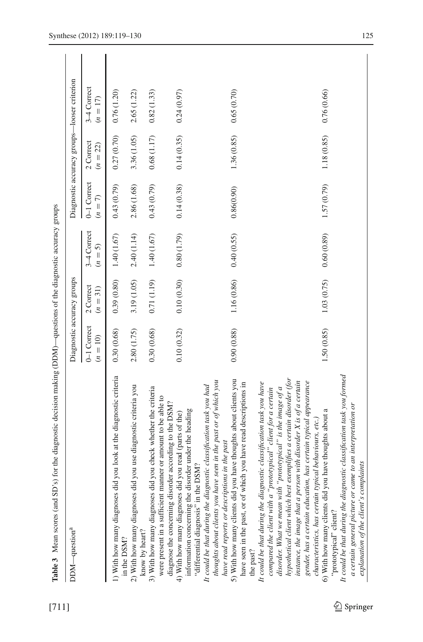<span id="page-6-0"></span>

| l              |
|----------------|
|                |
| ١              |
|                |
|                |
|                |
|                |
|                |
|                |
|                |
|                |
|                |
|                |
|                |
|                |
|                |
|                |
|                |
|                |
|                |
| ł              |
|                |
| i<br>i         |
|                |
| $\frac{1}{2}$  |
|                |
|                |
| ç<br>l         |
| í              |
| i<br>I         |
| ì              |
| í              |
| $\overline{a}$ |
|                |
|                |
|                |
|                |
|                |
|                |
|                |
|                |
|                |
|                |
| į<br>ł         |
|                |
| j              |
|                |
|                |
| j              |
|                |
|                |
|                |
| l              |
|                |
|                |
| Ì              |
| ļ<br>ì         |
|                |
|                |
|                |
|                |
|                |
| l              |
| l              |
|                |
|                |
| į              |
|                |
|                |
|                |
|                |
| Table 3        |

| Table 3 Mean scores (and SD's) for the diagnostic decision making (DDM)—questions of the diagnostic accuracy groups                                                                                                                                                                                                                                                                                                   |                            |                         |                                    |                        |                         |                                             |  |
|-----------------------------------------------------------------------------------------------------------------------------------------------------------------------------------------------------------------------------------------------------------------------------------------------------------------------------------------------------------------------------------------------------------------------|----------------------------|-------------------------|------------------------------------|------------------------|-------------------------|---------------------------------------------|--|
| DDM—question <sup>a</sup>                                                                                                                                                                                                                                                                                                                                                                                             | Diagnostic accuracy groups |                         |                                    |                        |                         | Diagnostic accuracy groups-looser criterion |  |
|                                                                                                                                                                                                                                                                                                                                                                                                                       | 0-1 Correct<br>$(n = 10)$  | 2 Correct<br>$(n = 31)$ | 3 <sup>-4</sup> Correct<br>$(n=5)$ | 0-1 Correct<br>$(n=7)$ | 2 Correct<br>$(n = 22)$ | 3–4 Correct<br>$(n = 17)$                   |  |
| you look at the diagnostic criteria<br>1) With how many diagnoses did<br>in the DSM?                                                                                                                                                                                                                                                                                                                                  | 0.30(0.68)                 | 0.39(0.80)              | 1.40(1.67)                         | 0.43(0.79)             | 0.27(0.70)              | 0.76(1.20)                                  |  |
| you use diagnostic criteria you<br>2) With how many diagnoses did<br>know by heart?                                                                                                                                                                                                                                                                                                                                   | 2.80 (1.75)                | 3.19 (1.05)             | 2.40(1.14)                         | 2.86 (1.68)            | 3.36 (1.05)             | 2.65 (1.22)                                 |  |
| you check whether the criteria<br>were present in a sufficient manner or amount to be able to<br>3) With how many diagnoses did                                                                                                                                                                                                                                                                                       | 0.30(0.68)                 | 0.71(1.19)              | 1.40(1.67)                         | 0.43(0.79)             | 0.68(1.17)              | 0.82(1.33)                                  |  |
| diagnose the concerning disorder according to the DSM?<br>information concerning the disorder under the heading<br>you read (parts of the)<br>"differential diagnosis" in the DSM?<br>4) With how many diagnoses did                                                                                                                                                                                                  | 0.10(0.32)                 | 0.10(0.30)              | 0.80(1.79)                         | 0.14(0.38)             | 0.14(0.35)              | 0.24(0.97)                                  |  |
| thoughts about clients you have seen in the past or of which you<br>It could be that during the diagnostic classification task you had<br>have read reports or descriptions in the past                                                                                                                                                                                                                               |                            |                         |                                    |                        |                         |                                             |  |
| 5) With how many clients did you have thoughts about clients you<br>have seen in the past, or of which you have read descriptions in<br>the past?                                                                                                                                                                                                                                                                     | 0.90(0.88)                 | 1.16 (0.86)             | 0.40(0.55)                         | 0.86(0.90)             | 1.36(0.85)              | 0.65(0.70)                                  |  |
| hypothetical client which best exemplifies a certain disorder (for<br>instance, the image that a person with disorder $X$ is of a certain<br>gender, has a certain education, has certain typical appearance<br>It could be that during the diagnostic classification task you have<br>disorder. What we mean with "prototypical" is the image of a<br>compared the client with a "prototypical" client for a certain |                            |                         |                                    |                        |                         |                                             |  |
| 6) With how many clients did you have thoughts about a<br>''prototypical'' client?<br>characteristics, has certain typical behaviours, etc.)                                                                                                                                                                                                                                                                          | 1.50 (0.85)                | 1.03 (0.75)             | 0.60(0.89)                         | 1.57 (0.79)            | 1.18 (0.85)             | 0.76 (0.66)                                 |  |
| It could be that during the diagnostic classification task you formed<br>a certain general picture or came to an interpretation or<br>explanation of the client's complaints                                                                                                                                                                                                                                          |                            |                         |                                    |                        |                         |                                             |  |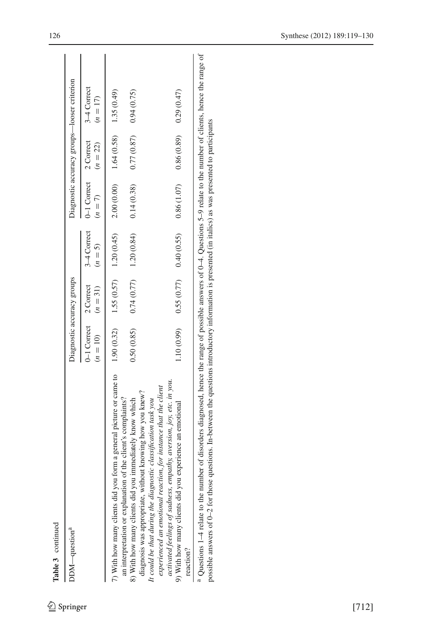| DDM—question <sup>a</sup>                                                                                                                                                           |            | Diagnostic accuracy groups      |                                      |                                      |                           | Diagnostic accuracy groups-looser criterion |
|-------------------------------------------------------------------------------------------------------------------------------------------------------------------------------------|------------|---------------------------------|--------------------------------------|--------------------------------------|---------------------------|---------------------------------------------|
|                                                                                                                                                                                     |            | $(n = 10)$ $(n = 31)$ $(n = 5)$ | $0-1$ Correct 2 Correct 3-4 Correct  | $0-1$ Correct $2$ Correct<br>$(n=7)$ | $(n = 22)$                | 3–4 Correct<br>$(n = 17)$                   |
|                                                                                                                                                                                     |            |                                 |                                      |                                      |                           |                                             |
| diagnosis was appropriate, without knowing how you knew?<br>an interpretation or explanation of the client's complaints?<br>8) With how many clients did you immediately know which | 0.50(0.85) |                                 | $0.74(0.77)$ 1.20 $(0.84)$           | 0.14(0.38)                           | 0.77(0.87)                | 0.94(0.75)                                  |
| experienced an emotional reaction, for instance that the client<br>It could be that during the diagnostic classification task you                                                   |            |                                 |                                      |                                      |                           |                                             |
| activated feelings of sadness, empathy, aversion, joy, etc. in you.<br>9) With how many clients did you experience an emotional                                                     |            |                                 | $1.10(0.99)$ 0.55 (0.77) 0.40 (0.55) | 0.86(1.07)                           | $0.86(0.89)$ $0.29(0.47)$ |                                             |
| reaction?                                                                                                                                                                           |            |                                 |                                      |                                      |                           |                                             |

 Questions 1–4 relate to the number of disorders diagnosed, hence the range of possible answers of 0–4. Questions 5–9 relate to the number of clients, hence the range of possible answers of 0-2 for those questions. In-between the questions introductory information is presented (in italics) as was presented to participants possible answers of 0–2 for those questions. In-between the questions introductory information is presented (in italics) as was presented to participants  $\frac{1}{2}$ Questions 1-4 relate to the number of disorders diagnosed, hence the range of possible answers of  $0-4$ . Questions 5-9 relate to the

Table 3 continued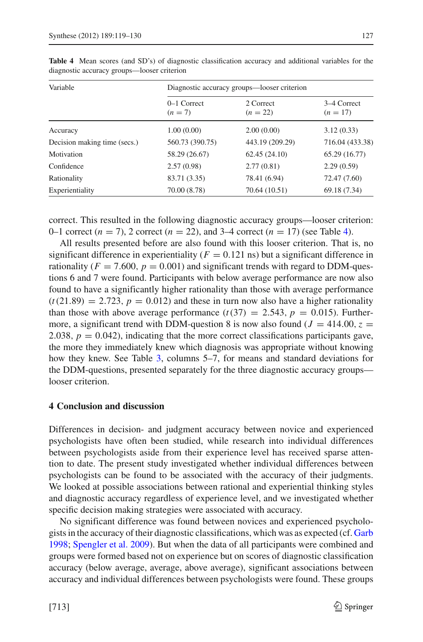| Variable                     |                            | Diagnostic accuracy groups—looser criterion |                           |  |
|------------------------------|----------------------------|---------------------------------------------|---------------------------|--|
|                              | $0-1$ Correct<br>$(n = 7)$ | 2 Correct<br>$(n = 22)$                     | 3–4 Correct<br>$(n = 17)$ |  |
| Accuracy                     | 1.00(0.00)                 | 2.00(0.00)                                  | 3.12(0.33)                |  |
| Decision making time (secs.) | 560.73 (390.75)            | 443.19 (209.29)                             | 716.04 (433.38)           |  |
| Motivation                   | 58.29 (26.67)              | 62.45(24.10)                                | 65.29 (16.77)             |  |
| Confidence                   | 2.57(0.98)                 | 2.77(0.81)                                  | 2.29(0.59)                |  |
| Rationality                  | 83.71 (3.35)               | 78.41 (6.94)                                | 72.47 (7.60)              |  |
| Experientiality              | 70.00 (8.78)               | 70.64 (10.51)                               | 69.18 (7.34)              |  |

<span id="page-8-0"></span>**Table 4** Mean scores (and SD's) of diagnostic classification accuracy and additional variables for the diagnostic accuracy groups—looser criterion

correct. This resulted in the following diagnostic accuracy groups—looser criterion: 0–1 correct  $(n = 7)$ , 2 correct  $(n = 22)$ , and 3–4 correct  $(n = 17)$  (see Table [4\)](#page-8-0).

All results presented before are also found with this looser criterion. That is, no significant difference in experientiality  $(F = 0.121 \text{ ns})$  but a significant difference in rationality ( $F = 7.600$ ,  $p = 0.001$ ) and significant trends with regard to DDM-questions 6 and 7 were found. Participants with below average performance are now also found to have a significantly higher rationality than those with average performance  $(t(21.89) = 2.723, p = 0.012)$  and these in turn now also have a higher rationality than those with above average performance  $(t(37) = 2.543, p = 0.015)$ . Furthermore, a significant trend with DDM-question 8 is now also found ( $J = 414.00$ ,  $z =$ 2.038,  $p = 0.042$ ), indicating that the more correct classifications participants gave, the more they immediately knew which diagnosis was appropriate without knowing how they knew. See Table [3,](#page-6-0) columns 5–7, for means and standard deviations for the DDM-questions, presented separately for the three diagnostic accuracy groups looser criterion.

# **4 Conclusion and discussion**

Differences in decision- and judgment accuracy between novice and experienced psychologists have often been studied, while research into individual differences between psychologists aside from their experience level has received sparse attention to date. The present study investigated whether individual differences between psychologists can be found to be associated with the accuracy of their judgments. We looked at possible associations between rational and experiential thinking styles and diagnostic accuracy regardless of experience level, and we investigated whether specific decision making strategies were associated with accuracy.

No significant difference was found between novices and experienced psychologists in the accuracy of their diagnostic classifications, which was as expected (cf. [Garb](#page-11-3) [1998;](#page-11-3) [Spengler et al. 2009](#page-11-7)). But when the data of all participants were combined and groups were formed based not on experience but on scores of diagnostic classification accuracy (below average, average, above average), significant associations between accuracy and individual differences between psychologists were found. These groups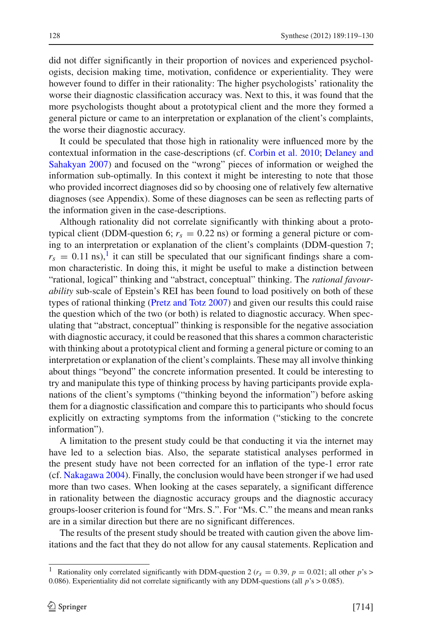did not differ significantly in their proportion of novices and experienced psychologists, decision making time, motivation, confidence or experientiality. They were however found to differ in their rationality: The higher psychologists' rationality the worse their diagnostic classification accuracy was. Next to this, it was found that the more psychologists thought about a prototypical client and the more they formed a general picture or came to an interpretation or explanation of the client's complaints, the worse their diagnostic accuracy.

It could be speculated that those high in rationality were influenced more by the contextu[al](#page-11-13) [information](#page-11-13) [in](#page-11-13) [the](#page-11-13) [case-descriptions](#page-11-13) [\(cf.](#page-11-13) [Corbin et al. 2010](#page-11-12); Delaney and Sahakyan [2007](#page-11-13)) and focused on the "wrong" pieces of information or weighed the information sub-optimally. In this context it might be interesting to note that those who provided incorrect diagnoses did so by choosing one of relatively few alternative diagnoses (see Appendix). Some of these diagnoses can be seen as reflecting parts of the information given in the case-descriptions.

Although rationality did not correlate significantly with thinking about a prototypical client (DDM-question 6;  $r_s = 0.22$  ns) or forming a general picture or coming to an interpretation or explanation of the client's complaints (DDM-question 7;  $r_s = 0.11$  $r_s = 0.11$  $r_s = 0.11$  ns),<sup>1</sup> it can still be speculated that our significant findings share a common characteristic. In doing this, it might be useful to make a distinction between "rational, logical" thinking and "abstract, conceptual" thinking. The *rational favourability* sub-scale of Epstein's REI has been found to load positively on both of these types of rational thinking [\(Pretz and Totz 2007\)](#page-11-20) and given our results this could raise the question which of the two (or both) is related to diagnostic accuracy. When speculating that "abstract, conceptual" thinking is responsible for the negative association with diagnostic accuracy, it could be reasoned that this shares a common characteristic with thinking about a prototypical client and forming a general picture or coming to an interpretation or explanation of the client's complaints. These may all involve thinking about things "beyond" the concrete information presented. It could be interesting to try and manipulate this type of thinking process by having participants provide explanations of the client's symptoms ("thinking beyond the information") before asking them for a diagnostic classification and compare this to participants who should focus explicitly on extracting symptoms from the information ("sticking to the concrete information").

A limitation to the present study could be that conducting it via the internet may have led to a selection bias. Also, the separate statistical analyses performed in the present study have not been corrected for an inflation of the type-1 error rate (cf. [Nakagawa 2004\)](#page-11-21). Finally, the conclusion would have been stronger if we had used more than two cases. When looking at the cases separately, a significant difference in rationality between the diagnostic accuracy groups and the diagnostic accuracy groups-looser criterion is found for "Mrs. S.". For "Ms. C." the means and mean ranks are in a similar direction but there are no significant differences.

The results of the present study should be treated with caution given the above limitations and the fact that they do not allow for any causal statements. Replication and

<span id="page-9-0"></span>Rationality only correlated significantly with DDM-question 2 ( $r_s = 0.39$ ,  $p = 0.021$ ; all other  $p$ 's > 0.086). Experientiality did not correlate significantly with any DDM-questions (all *p*'s > 0.085).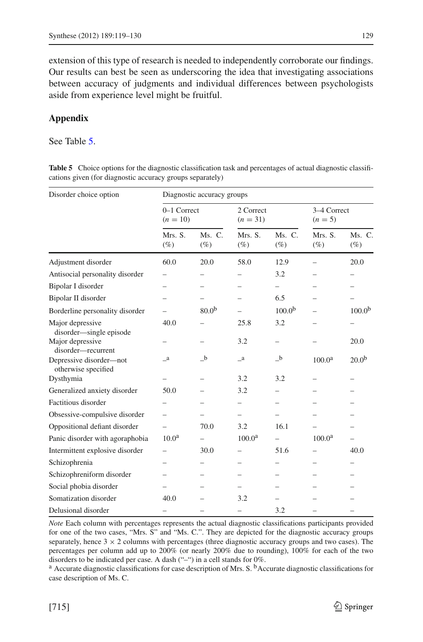extension of this type of research is needed to independently corroborate our findings. Our results can best be seen as underscoring the idea that investigating associations between accuracy of judgments and individual differences between psychologists aside from experience level might be fruitful.

# **Appendix**

See Table [5.](#page-10-0)

<span id="page-10-0"></span>**Table 5** Choice options for the diagnostic classification task and percentages of actual diagnostic classifications given (for diagnostic accuracy groups separately)

| Disorder choice option                         |                           | Diagnostic accuracy groups |                         |                     |                          |                    |
|------------------------------------------------|---------------------------|----------------------------|-------------------------|---------------------|--------------------------|--------------------|
|                                                | 0-1 Correct<br>$(n = 10)$ |                            | 2 Correct<br>$(n = 31)$ |                     | 3-4 Correct<br>$(n = 5)$ |                    |
|                                                | Mrs. S.<br>$(\%)$         | $Ms$ . C.<br>$(\%)$        | Mrs. S.<br>$(\%)$       | $Ms$ . C.<br>$(\%)$ | Mrs. S.<br>$(\%)$        | Ms. C.<br>$(\%)$   |
| Adjustment disorder                            | 60.0                      | 20.0                       | 58.0                    | 12.9                |                          | 20.0               |
| Antisocial personality disorder                |                           |                            |                         | 3.2                 |                          |                    |
| Bipolar I disorder                             |                           |                            |                         |                     |                          |                    |
| Bipolar II disorder                            |                           |                            |                         | 6.5                 |                          |                    |
| Borderline personality disorder                |                           | 80.0 <sup>b</sup>          |                         | 100.0 <sup>b</sup>  |                          | 100.0 <sup>b</sup> |
| Major depressive<br>disorder-single episode    | 40.0                      |                            | 25.8                    | 3.2                 |                          |                    |
| Major depressive<br>disorder-recurrent         |                           |                            | 3.2                     |                     |                          | 20.0               |
| Depressive disorder-not<br>otherwise specified | $\mathbf{a}$              | $_b$                       | $\mathbf{a}$            | $_b$                | 100.0 <sup>a</sup>       | $20.0^{b}$         |
| Dysthymia                                      |                           |                            | 3.2                     | 3.2                 |                          |                    |
| Generalized anxiety disorder                   | 50.0                      |                            | 3.2                     |                     |                          |                    |
| Factitious disorder                            |                           |                            |                         |                     |                          |                    |
| Obsessive-compulsive disorder                  |                           |                            |                         |                     |                          |                    |
| Oppositional defiant disorder                  |                           | 70.0                       | 3.2                     | 16.1                |                          |                    |
| Panic disorder with agoraphobia                | 10.0 <sup>a</sup>         |                            | 100.0 <sup>a</sup>      |                     | 100.0 <sup>a</sup>       |                    |
| Intermittent explosive disorder                |                           | 30.0                       |                         | 51.6                |                          | 40.0               |
| Schizophrenia                                  |                           |                            |                         |                     |                          |                    |
| Schizophreniform disorder                      |                           |                            |                         |                     |                          |                    |
| Social phobia disorder                         |                           |                            |                         |                     |                          |                    |
| Somatization disorder                          | 40.0                      |                            | 3.2                     |                     |                          |                    |
| Delusional disorder                            |                           |                            |                         | 3.2                 |                          |                    |

*Note* Each column with percentages represents the actual diagnostic classifications participants provided for one of the two cases, "Mrs. S" and "Ms. C.". They are depicted for the diagnostic accuracy groups separately, hence  $3 \times 2$  columns with percentages (three diagnostic accuracy groups and two cases). The percentages per column add up to 200% (or nearly 200% due to rounding), 100% for each of the two disorders to be indicated per case. A dash ("–") in a cell stands for 0%.

<sup>a</sup> Accurate diagnostic classifications for case description of Mrs. S. <sup>b</sup>Accurate diagnostic classifications for case description of Ms. C.